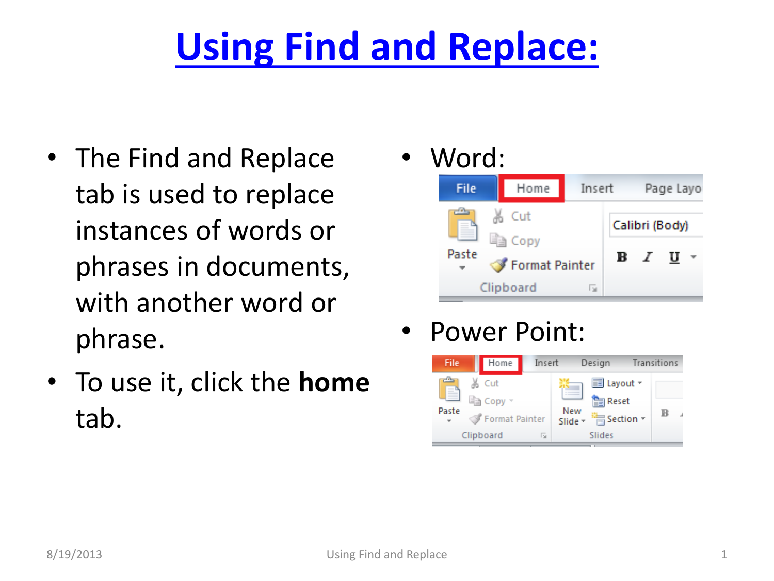## **[Using Find and Replace:](#page-1-0)**

- The Find and Replace tab is used to replace instances of words or phrases in documents, with another word or phrase.
- To use it, click the **home** tab.

Word:



Power Point:

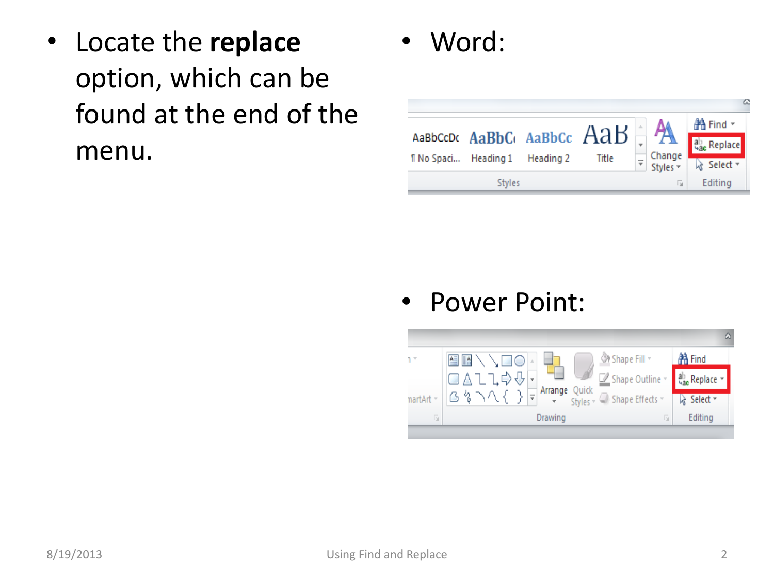- Locate the **replace** option, which can be found at the end of the menu.
- Word:



Power Point:

<span id="page-1-0"></span>

| $n -$     | <b>◇ Shape Fill</b> ▼<br>生略ヘト<br>↘□○                            | <b>咎 Find</b> |
|-----------|-----------------------------------------------------------------|---------------|
|           | ◙△ጊጊ⇨⇩ <mark>・</mark><br>ຜູგ∧{} <del>፣</del><br>Shape Outline * | ab Replace    |
| martArt ~ | Arrange Quick<br>The Styles v C Shape Effects v                 | p Select *    |
| lы        | Drawing<br>ы                                                    | Editing       |
|           |                                                                 |               |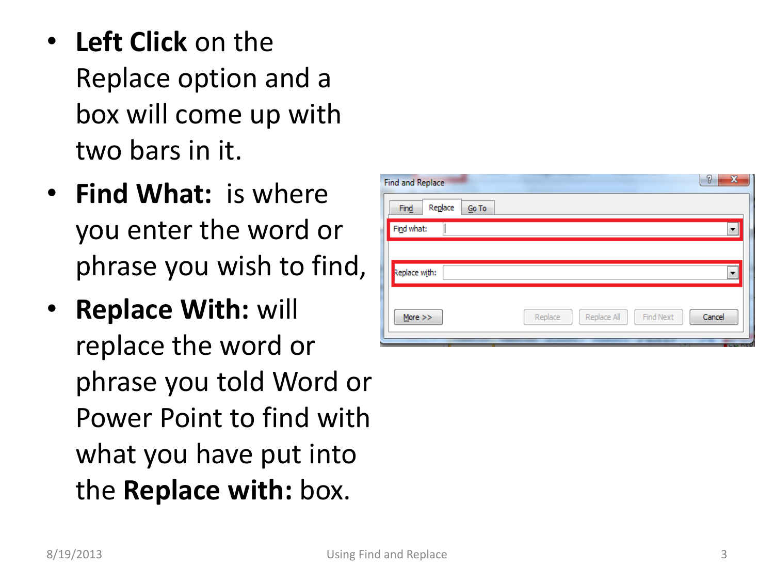- **Left Click** on the Replace option and a box will come up with two bars in it .
- **Find What:** is where you enter the word or phrase you wish to find,
- **Replace With:** will replace the word or phrase you told Word or Power Point to find with what you have put into the **Replace with:** box.

| 8<br>$\mathbf{x}$<br><b>Find and Replace</b> |                                     |        |  |  |  |  |  |
|----------------------------------------------|-------------------------------------|--------|--|--|--|--|--|
| Replace<br>Find<br>Go To                     |                                     |        |  |  |  |  |  |
| Find what:                                   |                                     | ▼      |  |  |  |  |  |
|                                              |                                     |        |  |  |  |  |  |
| Replace with:                                |                                     | ٠      |  |  |  |  |  |
| More $>>$                                    | Replace All<br>Find Next<br>Replace | Cancel |  |  |  |  |  |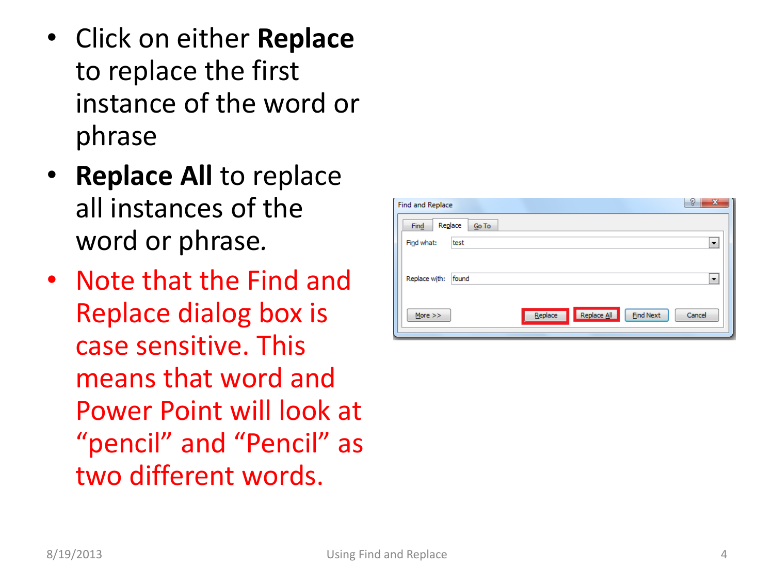- Click on either **Replace** to replace the first instance of the word or phrase
- **Replace All** to replace all instances of the word or phrase *.*
- Note that the Find and Replace dialog box is case sensitive. This means that word and Power Point will look at "pencil" and "Pencil" as two different words.

| Find and Replace |       |         |             | 8<br>$\mathbf{x}$ |        |
|------------------|-------|---------|-------------|-------------------|--------|
| Replace<br>Find  | Go To |         |             |                   |        |
| Find what:       | test  |         |             |                   | ۰      |
|                  |       |         |             |                   |        |
| Replace with:    | found |         |             |                   | ۰      |
|                  |       |         |             |                   |        |
| More $>>$        |       | Replace | Replace All | <b>Find Next</b>  | Cancel |
|                  |       |         |             |                   |        |